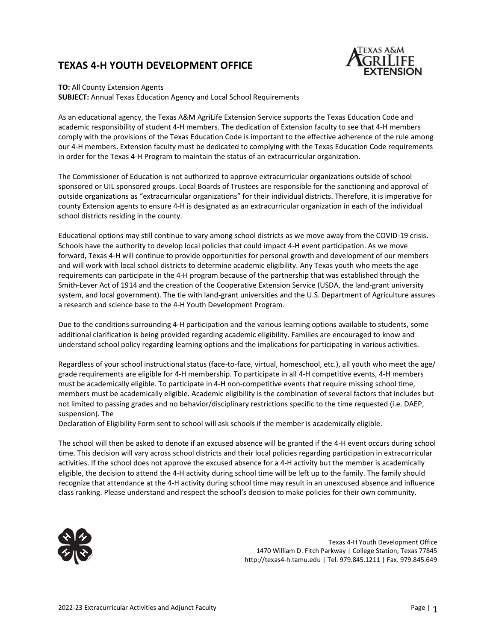### **TEXAS 4-H YOUTH DEVELOPMENT OFFICE**



#### **TO:** All County Extension Agents

**SUBJECT:** Annual Texas Education Agency and Local School Requirements

As an educational agency, the Texas A&M AgriLife Extension Service supports the Texas Education Code and academic responsibility of student 4-H members. The dedication of Extension faculty to see that 4-H members comply with the provisions of the Texas Education Code is important to the effective adherence of the rule among our 4-H members. Extension faculty must be dedicated to complying with the Texas Education Code requirements in order for the Texas 4-H Program to maintain the status of an extracurricular organization.

The Commissioner of Education is not authorized to approve extracurricular organizations outside of school sponsored or UIL sponsored groups. Local Boards of Trustees are responsible for the sanctioning and approval of outside organizations as "extracurricular organizations" for their individual districts. Therefore, it is imperative for county Extension agents to ensure 4-H is designated as an extracurricular organization in each of the individual school districts residing in the county.

Educational options may still continue to vary among school districts as we move away from the COVID-19 crisis. Schools have the authority to develop local policies that could impact 4-H event participation. As we move forward, Texas 4-H will continue to provide opportunities for personal growth and development of our members and will work with local school districts to determine academic eligibility. Any Texas youth who meets the age requirements can participate in the 4-H program because of the partnership that was established through the Smith-Lever Act of 1914 and the creation of the Cooperative Extension Service (USDA, the land-grant university system, and local government). The tie with land-grant universities and the U.S. Department of Agriculture assures a research and science base to the 4-H Youth Development Program.

Due to the conditions surrounding 4-H participation and the various learning options available to students, some additional clarification is being provided regarding academic eligibility. Families are encouraged to know and understand school policy regarding learning options and the implications for participating in various activities.

Regardless of your school instructional status (face-to-face, virtual, homeschool, etc.), all youth who meet the age/ grade requirements are eligible for 4-H membership. To participate in all 4-H competitive events, 4-H members must be academically eligible. To participate in 4-H non-competitive events that require missing school time, members must be academically eligible. Academic eligibility is the combination of several factors that includes but not limited to passing grades and no behavior/disciplinary restrictions specific to the time requested (i.e. DAEP, suspension). The

Declaration of Eligibility Form sent to school will ask schools if the member is academically eligible.

The school will then be asked to denote if an excused absence will be granted if the 4-H event occurs during school time. This decision will vary across school districts and their local policies regarding participation in extracurricular activities. If the school does not approve the excused absence for a 4-H activity but the member is academically eligible, the decision to attend the 4-H activity during school time will be left up to the family. The family should recognize that attendance at the 4-H activity during school time may result in an unexcused absence and influence class ranking. Please understand and respect the school's decision to make policies for their own community.



Texas 4-H Youth Development Office 1470 William D. Fitch Parkway | College Station, Texas 77845 http://texas4-h.tamu.edu | Tel. 979.845.1211 | Fax. 979.845.649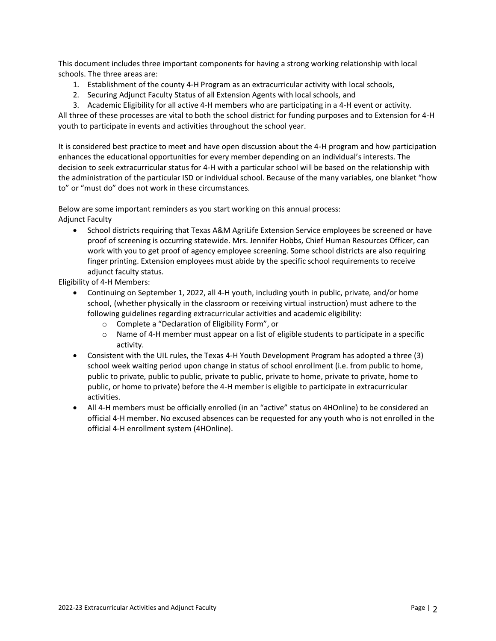This document includes three important components for having a strong working relationship with local schools. The three areas are:

- 1. Establishment of the county 4-H Program as an extracurricular activity with local schools,
- 2. Securing Adjunct Faculty Status of all Extension Agents with local schools, and
- 3. Academic Eligibility for all active 4-H members who are participating in a 4-H event or activity.

All three of these processes are vital to both the school district for funding purposes and to Extension for 4-H youth to participate in events and activities throughout the school year.

It is considered best practice to meet and have open discussion about the 4-H program and how participation enhances the educational opportunities for every member depending on an individual's interests. The decision to seek extracurricular status for 4-H with a particular school will be based on the relationship with the administration of the particular ISD or individual school. Because of the many variables, one blanket "how to" or "must do" does not work in these circumstances.

Below are some important reminders as you start working on this annual process: Adjunct Faculty

• School districts requiring that Texas A&M AgriLife Extension Service employees be screened or have proof of screening is occurring statewide. Mrs. Jennifer Hobbs, Chief Human Resources Officer, can work with you to get proof of agency employee screening. Some school districts are also requiring finger printing. Extension employees must abide by the specific school requirements to receive adjunct faculty status.

Eligibility of 4-H Members:

- Continuing on September 1, 2022, all 4-H youth, including youth in public, private, and/or home school, (whether physically in the classroom or receiving virtual instruction) must adhere to the following guidelines regarding extracurricular activities and academic eligibility:
	- o Complete a "Declaration of Eligibility Form", or
	- o Name of 4-H member must appear on a list of eligible students to participate in a specific activity.
- Consistent with the UIL rules, the Texas 4-H Youth Development Program has adopted a three (3) school week waiting period upon change in status of school enrollment (i.e. from public to home, public to private, public to public, private to public, private to home, private to private, home to public, or home to private) before the 4-H member is eligible to participate in extracurricular activities.
- All 4-H members must be officially enrolled (in an "active" status on 4HOnline) to be considered an official 4-H member. No excused absences can be requested for any youth who is not enrolled in the official 4-H enrollment system (4HOnline).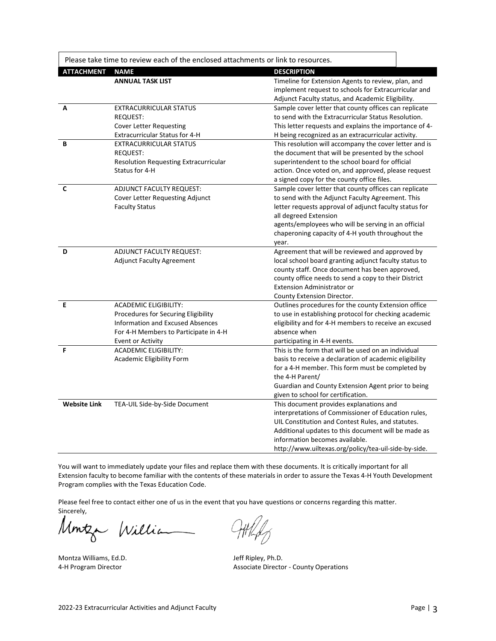|                     | Please take time to review each of the enclosed attachments or link to resources.                                                                                                   |                                                                                                                                                                                                                                                                                                                  |  |
|---------------------|-------------------------------------------------------------------------------------------------------------------------------------------------------------------------------------|------------------------------------------------------------------------------------------------------------------------------------------------------------------------------------------------------------------------------------------------------------------------------------------------------------------|--|
| <b>ATTACHMENT</b>   | <b>NAME</b>                                                                                                                                                                         | <b>DESCRIPTION</b>                                                                                                                                                                                                                                                                                               |  |
|                     | <b>ANNUAL TASK LIST</b>                                                                                                                                                             | Timeline for Extension Agents to review, plan, and<br>implement request to schools for Extracurricular and<br>Adjunct Faculty status, and Academic Eligibility.                                                                                                                                                  |  |
| A                   | <b>EXTRACURRICULAR STATUS</b><br>REQUEST:<br><b>Cover Letter Requesting</b><br>Extracurricular Status for 4-H                                                                       | Sample cover letter that county offices can replicate<br>to send with the Extracurricular Status Resolution.<br>This letter requests and explains the importance of 4-<br>H being recognized as an extracurricular activity.                                                                                     |  |
| В                   | <b>EXTRACURRICULAR STATUS</b><br><b>REQUEST:</b><br>Resolution Requesting Extracurricular<br>Status for 4-H                                                                         | This resolution will accompany the cover letter and is<br>the document that will be presented by the school<br>superintendent to the school board for official<br>action. Once voted on, and approved, please request<br>a signed copy for the county office files.                                              |  |
| C                   | ADJUNCT FACULTY REQUEST:<br>Cover Letter Requesting Adjunct<br><b>Faculty Status</b>                                                                                                | Sample cover letter that county offices can replicate<br>to send with the Adjunct Faculty Agreement. This<br>letter requests approval of adjunct faculty status for<br>all degreed Extension<br>agents/employees who will be serving in an official<br>chaperoning capacity of 4-H youth throughout the<br>year. |  |
| D                   | ADJUNCT FACULTY REQUEST:<br><b>Adjunct Faculty Agreement</b>                                                                                                                        | Agreement that will be reviewed and approved by<br>local school board granting adjunct faculty status to<br>county staff. Once document has been approved,<br>county office needs to send a copy to their District<br><b>Extension Administrator or</b><br>County Extension Director.                            |  |
| E                   | <b>ACADEMIC ELIGIBILITY:</b><br><b>Procedures for Securing Eligibility</b><br><b>Information and Excused Absences</b><br>For 4-H Members to Participate in 4-H<br>Event or Activity | Outlines procedures for the county Extension office<br>to use in establishing protocol for checking academic<br>eligibility and for 4-H members to receive an excused<br>absence when<br>participating in 4-H events.                                                                                            |  |
| F                   | <b>ACADEMIC ELIGIBILITY:</b><br>Academic Eligibility Form                                                                                                                           | This is the form that will be used on an individual<br>basis to receive a declaration of academic eligibility<br>for a 4-H member. This form must be completed by<br>the 4-H Parent/<br>Guardian and County Extension Agent prior to being<br>given to school for certification.                                 |  |
| <b>Website Link</b> | TEA-UIL Side-by-Side Document                                                                                                                                                       | This document provides explanations and<br>interpretations of Commissioner of Education rules,<br>UIL Constitution and Contest Rules, and statutes.<br>Additional updates to this document will be made as<br>information becomes available.<br>http://www.uiltexas.org/policy/tea-uil-side-by-side.             |  |

You will want to immediately update your files and replace them with these documents. It is critically important for all Extension faculty to become familiar with the contents of these materials in order to assure the Texas 4-H Youth Development Program complies with the Texas Education Code.

Please feel free to contact either one of us in the event that you have questions or concerns regarding this matter. Sincerely,

Montza William

Montza Williams, Ed.D. Solid and Montza Williams, Ed.D. September 2014 1991 10:30 Jeff Ripley, Ph.D. 34-H Program Director

Associate Director - County Operations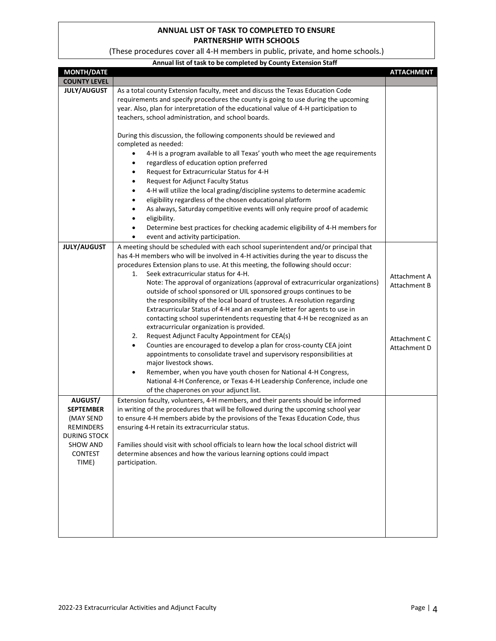### **ANNUAL LIST OF TASK TO COMPLETED TO ENSURE PARTNERSHIP WITH SCHOOLS**

(These procedures cover all 4-H members in public, private, and home schools.)

| Annual list of task to be completed by County Extension Staff |  |
|---------------------------------------------------------------|--|

| <b>MONTH/DATE</b>                                                            |                                                                                                                                                                                                                                                                                                                                                                                                                                                                                         | <b>ATTACHMENT</b>            |
|------------------------------------------------------------------------------|-----------------------------------------------------------------------------------------------------------------------------------------------------------------------------------------------------------------------------------------------------------------------------------------------------------------------------------------------------------------------------------------------------------------------------------------------------------------------------------------|------------------------------|
| <b>COUNTY LEVEL</b>                                                          |                                                                                                                                                                                                                                                                                                                                                                                                                                                                                         |                              |
| <b>JULY/AUGUST</b>                                                           | As a total county Extension faculty, meet and discuss the Texas Education Code<br>requirements and specify procedures the county is going to use during the upcoming<br>year. Also, plan for interpretation of the educational value of 4-H participation to<br>teachers, school administration, and school boards.                                                                                                                                                                     |                              |
|                                                                              | During this discussion, the following components should be reviewed and<br>completed as needed:                                                                                                                                                                                                                                                                                                                                                                                         |                              |
|                                                                              | 4-H is a program available to all Texas' youth who meet the age requirements<br>regardless of education option preferred<br>٠<br>Request for Extracurricular Status for 4-H<br>$\bullet$<br><b>Request for Adjunct Faculty Status</b><br>٠<br>4-H will utilize the local grading/discipline systems to determine academic<br>٠                                                                                                                                                          |                              |
|                                                                              | eligibility regardless of the chosen educational platform<br>$\bullet$<br>As always, Saturday competitive events will only require proof of academic<br>٠<br>eligibility.<br>٠<br>Determine best practices for checking academic eligibility of 4-H members for<br>٠                                                                                                                                                                                                                    |                              |
| <b>JULY/AUGUST</b>                                                           | event and activity participation.<br>$\bullet$<br>A meeting should be scheduled with each school superintendent and/or principal that<br>has 4-H members who will be involved in 4-H activities during the year to discuss the<br>procedures Extension plans to use. At this meeting, the following should occur:                                                                                                                                                                       |                              |
|                                                                              | Seek extracurricular status for 4-H.<br>1.<br>Note: The approval of organizations (approval of extracurricular organizations)<br>outside of school sponsored or UIL sponsored groups continues to be<br>the responsibility of the local board of trustees. A resolution regarding<br>Extracurricular Status of 4-H and an example letter for agents to use in<br>contacting school superintendents requesting that 4-H be recognized as an<br>extracurricular organization is provided. | Attachment A<br>Attachment B |
|                                                                              | Request Adjunct Faculty Appointment for CEA(s)<br>2.<br>Counties are encouraged to develop a plan for cross-county CEA joint<br>$\bullet$<br>appointments to consolidate travel and supervisory responsibilities at<br>major livestock shows.<br>Remember, when you have youth chosen for National 4-H Congress,<br>$\bullet$<br>National 4-H Conference, or Texas 4-H Leadership Conference, include one<br>of the chaperones on your adjunct list.                                    | Attachment C<br>Attachment D |
| AUGUST/<br><b>SEPTEMBER</b><br>(MAY SEND<br>REMINDERS<br><b>DURING STOCK</b> | Extension faculty, volunteers, 4-H members, and their parents should be informed<br>in writing of the procedures that will be followed during the upcoming school year<br>to ensure 4-H members abide by the provisions of the Texas Education Code, thus<br>ensuring 4-H retain its extracurricular status.                                                                                                                                                                            |                              |
| <b>SHOW AND</b><br><b>CONTEST</b><br>TIME)                                   | Families should visit with school officials to learn how the local school district will<br>determine absences and how the various learning options could impact<br>participation.                                                                                                                                                                                                                                                                                                       |                              |
|                                                                              |                                                                                                                                                                                                                                                                                                                                                                                                                                                                                         |                              |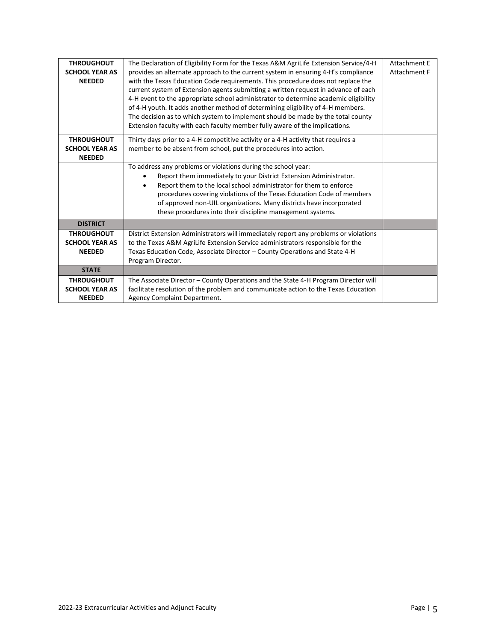| <b>THROUGHOUT</b>     | The Declaration of Eligibility Form for the Texas A&M AgriLife Extension Service/4-H | <b>Attachment E</b> |
|-----------------------|--------------------------------------------------------------------------------------|---------------------|
| <b>SCHOOL YEAR AS</b> | provides an alternate approach to the current system in ensuring 4-H's compliance    | Attachment F        |
| <b>NEEDED</b>         | with the Texas Education Code requirements. This procedure does not replace the      |                     |
|                       | current system of Extension agents submitting a written request in advance of each   |                     |
|                       | 4-H event to the appropriate school administrator to determine academic eligibility  |                     |
|                       | of 4-H youth. It adds another method of determining eligibility of 4-H members.      |                     |
|                       | The decision as to which system to implement should be made by the total county      |                     |
|                       | Extension faculty with each faculty member fully aware of the implications.          |                     |
|                       |                                                                                      |                     |
| <b>THROUGHOUT</b>     | Thirty days prior to a 4-H competitive activity or a 4-H activity that requires a    |                     |
| <b>SCHOOL YEAR AS</b> | member to be absent from school, put the procedures into action.                     |                     |
| <b>NEEDED</b>         |                                                                                      |                     |
|                       | To address any problems or violations during the school year:                        |                     |
|                       | Report them immediately to your District Extension Administrator.                    |                     |
|                       | Report them to the local school administrator for them to enforce                    |                     |
|                       | procedures covering violations of the Texas Education Code of members                |                     |
|                       | of approved non-UIL organizations. Many districts have incorporated                  |                     |
|                       | these procedures into their discipline management systems.                           |                     |
|                       |                                                                                      |                     |
| <b>DISTRICT</b>       |                                                                                      |                     |
| <b>THROUGHOUT</b>     | District Extension Administrators will immediately report any problems or violations |                     |
| <b>SCHOOL YEAR AS</b> | to the Texas A&M AgriLife Extension Service administrators responsible for the       |                     |
| <b>NEEDED</b>         | Texas Education Code, Associate Director - County Operations and State 4-H           |                     |
|                       | Program Director.                                                                    |                     |
| <b>STATE</b>          |                                                                                      |                     |
| <b>THROUGHOUT</b>     | The Associate Director - County Operations and the State 4-H Program Director will   |                     |
| <b>SCHOOL YEAR AS</b> | facilitate resolution of the problem and communicate action to the Texas Education   |                     |
| <b>NEEDED</b>         | Agency Complaint Department.                                                         |                     |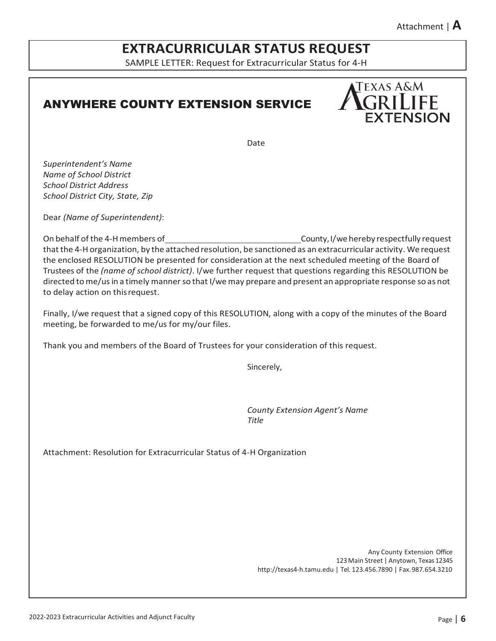# **EXTRACURRICULAR STATUS REQUEST**

SAMPLE LETTER: Request for Extracurricular Status for 4-H

## ANYWHERE COUNTY EXTENSION SERVICE



Date

*Superintendent's Name Name of School District School District Address School District City, State, Zip*

Dear *(Name of Superintendent)*:

On behalf of the 4-Hmembers of County,I/we hereby respectfully request that the 4-H organization, by the attached resolution, be sanctioned as an extracurricular activity. We request the enclosed RESOLUTION be presented for consideration at the next scheduled meeting of the Board of Trustees of the *(name of school district)*. I/we further request that questions regarding this RESOLUTION be directed to me/us in a timely manner so that I/we may prepare and present an appropriate response so as not to delay action on thisrequest.

Finally, I/we request that a signed copy of this RESOLUTION, along with a copy of the minutes of the Board meeting, be forwarded to me/us for my/our files.

Thank you and members of the Board of Trustees for your consideration of this request.

Sincerely,

*County Extension Agent's Name Title*

Attachment: Resolution for Extracurricular Status of 4-H Organization

Any County Extension Office 123Main Street | Anytown, Texas 12345 [http://texas4-h.tamu.edu |](http://texas4-h.tamu.edu/) Tel. 123.456.7890 | Fax.987.654.3210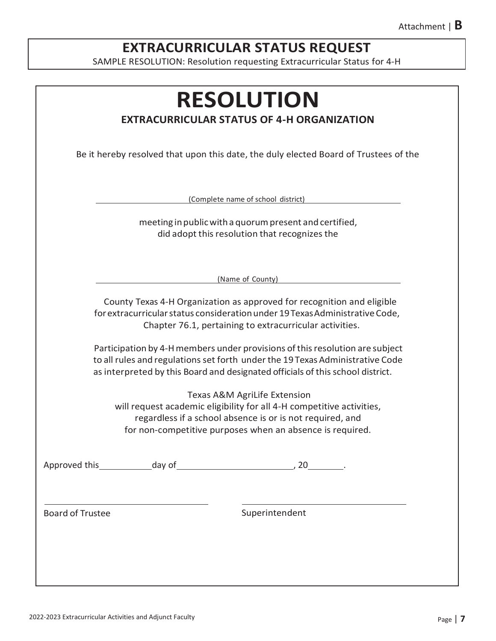# **EXTRACURRICULAR STATUS REQUEST**

SAMPLE RESOLUTION: Resolution requesting Extracurricular Status for 4-H

|                                                                                                                                                                                                                   | <b>EXTRACURRICULAR STATUS OF 4-H ORGANIZATION</b>                                                                                                                                                                                               |  |
|-------------------------------------------------------------------------------------------------------------------------------------------------------------------------------------------------------------------|-------------------------------------------------------------------------------------------------------------------------------------------------------------------------------------------------------------------------------------------------|--|
|                                                                                                                                                                                                                   | Be it hereby resolved that upon this date, the duly elected Board of Trustees of the                                                                                                                                                            |  |
|                                                                                                                                                                                                                   | (Complete name of school district)                                                                                                                                                                                                              |  |
|                                                                                                                                                                                                                   | meeting in public with a quorum present and certified,<br>did adopt this resolution that recognizes the                                                                                                                                         |  |
|                                                                                                                                                                                                                   | (Name of County)                                                                                                                                                                                                                                |  |
| County Texas 4-H Organization as approved for recognition and eligible<br>for extracurricular status consideration under 19 Texas Administrative Code,<br>Chapter 76.1, pertaining to extracurricular activities. |                                                                                                                                                                                                                                                 |  |
|                                                                                                                                                                                                                   | Participation by 4-H members under provisions of this resolution are subject<br>to all rules and regulations set forth under the 19 Texas Administrative Code<br>as interpreted by this Board and designated officials of this school district. |  |
|                                                                                                                                                                                                                   | Texas A&M AgriLife Extension<br>will request academic eligibility for all 4-H competitive activities,<br>regardless if a school absence is or is not required, and<br>for non-competitive purposes when an absence is required.                 |  |
|                                                                                                                                                                                                                   |                                                                                                                                                                                                                                                 |  |
| <b>Board of Trustee</b>                                                                                                                                                                                           | Superintendent                                                                                                                                                                                                                                  |  |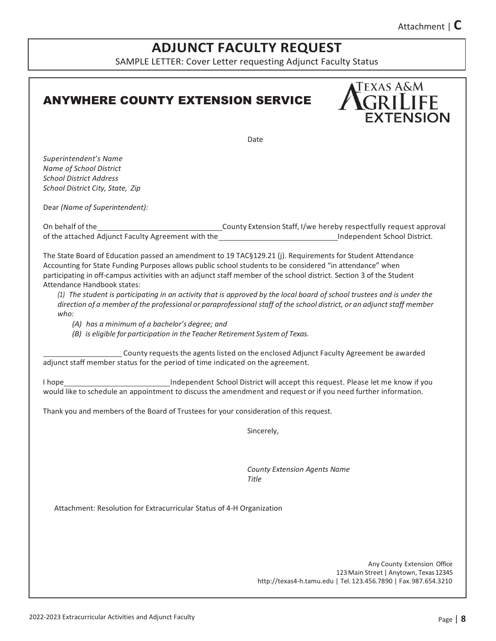Attachment | **C**

**TEXAS A&M** 

**GRILIFF** 

**EXTENSION** 

# **ADJUNCT FACULTY REQUEST**

SAMPLE LETTER: Cover Letter requesting Adjunct Faculty Status

Date

## ANYWHERE COUNTY EXTENSION SERVICE

*Superintendent's Name Name of School District School District Address School District City, State, Zip*

Dear *(Name of Superintendent):*

On behalf of the County Extension Staff, I/we hereby respectfully request approval of the attached Adjunct Faculty Agreement with the Independent School District.

The State Board of Education passed an amendment to 19 TAC§129.21 (j). Requirements for Student Attendance Accounting for State Funding Purposes allows public school students to be considered "in attendance" when participating in off-campus activities with an adjunct staff member of the school district. Section 3 of the Student Attendance Handbook states:

*(1) The student is participating in an activity that is approved by the local board of school trustees and is under the*  direction of a member of the professional or paraprofessional staff of the school district, or an adjunct staff member *who:*

*(A) has a minimum of a bachelor's degree; and*

*(B) is eligible for participation in the Teacher Retirement System of Texas.*

County requests the agents listed on the enclosed Adjunct Faculty Agreement be awarded adjunct staff member status for the period of time indicated on the agreement.

I hope Independent School District will accept this request. Please let me know if you would like to schedule an appointment to discuss the amendment and request or if you need further information.

Thank you and members of the Board of Trustees for your consideration of this request.

Sincerely,

*County Extension Agents Name Title*

Attachment: Resolution for Extracurricular Status of 4-H Organization

Any County Extension Office 123Main Street | Anytown, Texas 12345 [http://texas4-h.tamu.edu |](http://texas4-h.tamu.edu/) Tel. 123.456.7890 | Fax.987.654.3210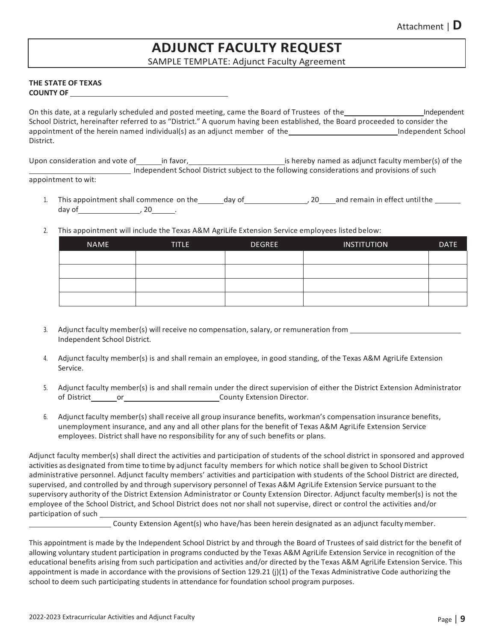## **ADJUNCT FACULTY REQUEST**

SAMPLE TEMPLATE: Adjunct Faculty Agreement

### **THE STATE OF TEXAS COUNTY OF**

On this date, at a regularly scheduled and posted meeting, came the Board of Trustees of the Independent School District, hereinafter referred to as "District." A quorum having been established, the Board proceeded to consider the appointment of the herein named individual(s) as an adjunct member of the Independent School District.

Upon consideration and vote of in favor, in the same is hereby named as adjunct faculty member(s) of the Independent School District subject to the following considerations and provisions of such appointment to wit:

- 1. This appointment shall commence on the day of 1. 20 and remain in effect until the day of  $\frac{20}{100}$ ,  $\frac{20}{100}$ .
- 2. This appointment will include the Texas A&M AgriLife Extension Service employees listed below:

| <b>NAME</b> | <b>TITLE</b> | <b>DEGREE</b> | <b>INSTITUTION</b> | <b>DATE</b> |
|-------------|--------------|---------------|--------------------|-------------|
|             |              |               |                    |             |
|             |              |               |                    |             |
|             |              |               |                    |             |
|             |              |               |                    |             |

- 3. Adjunct faculty member(s) will receive no compensation, salary, or remuneration from Independent School District.
- 4. Adjunct faculty member(s) is and shall remain an employee, in good standing, of the Texas A&M AgriLife Extension Service.
- 5. Adjunct faculty member(s) is and shall remain under the direct supervision of either the District Extension Administrator of District or County Extension Director.
- 6. Adjunct faculty member(s) shall receive all group insurance benefits, workman's compensation insurance benefits, unemployment insurance, and any and all other plans for the benefit of Texas A&M AgriLife Extension Service employees. District shall have no responsibility for any of such benefits or plans.

Adjunct faculty member(s) shall direct the activities and participation of students of the school district in sponsored and approved activities as designated from time to time by adjunct faculty members for which notice shall be given to School District administrative personnel. Adjunct faculty members' activities and participation with students of the School District are directed, supervised, and controlled by and through supervisory personnel of Texas A&M AgriLife Extension Service pursuant to the supervisory authority of the District Extension Administrator or County Extension Director. Adjunct faculty member(s) is not the employee of the School District, and School District does not nor shall not supervise, direct or control the activities and/or participation of such

County Extension Agent(s) who have/has been herein designated as an adjunct facultymember.

This appointment is made by the Independent School District by and through the Board of Trustees of said district for the benefit of allowing voluntary student participation in programs conducted by the Texas A&M AgriLife Extension Service in recognition of the educational benefits arising from such participation and activities and/or directed by the Texas A&M AgriLife Extension Service. This appointment is made in accordance with the provisions of Section 129.21 (j)(1) of the Texas Administrative Code authorizing the school to deem such participating students in attendance for foundation school program purposes.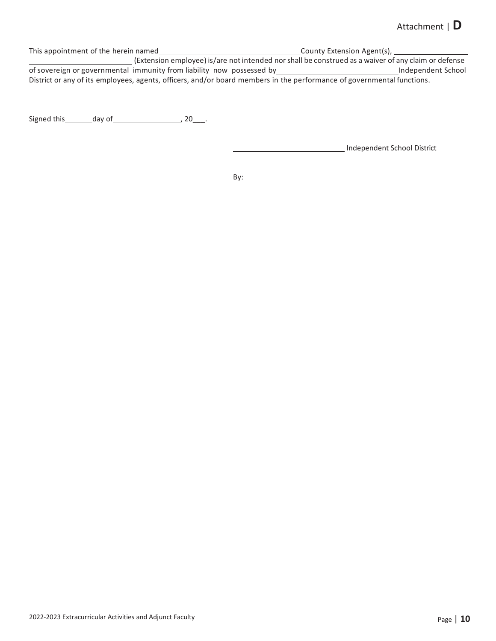### Attachment | **D**

This appointment of the herein named County Extension Agent(s), (Extension employee) is/are notintended nor shall be construed as a waiver of any claim or defense **of sovereign or governmental immunity from liability now possessed by** and the construction as a warver or any cranition determined of sovereign or governmental immunity from liability now possessed by and the constructio District or any of its employees, agents, officers, and/or board members in the performance of governmental functions.

Signed this  $\qquad \qquad$  day of  $\qquad \qquad$  , 20\_\_\_.

Independent School District

By: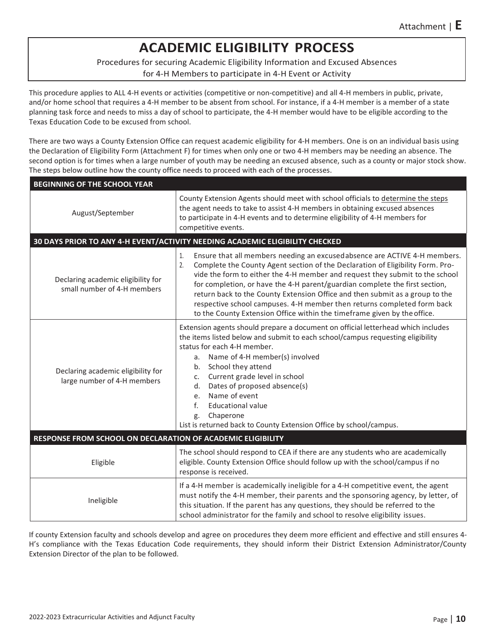# **ACADEMIC ELIGIBILITY PROCESS**

Procedures for securing Academic Eligibility Information and Excused Absences

for 4-H Members to participate in 4-H Event or Activity

This procedure applies to ALL 4-H events or activities (competitive or non-competitive) and all 4-H members in public, private, and/or home school that requires a 4-H member to be absent from school. For instance, if a 4-H member is a member of a state planning task force and needs to miss a day of school to participate, the 4-H member would have to be eligible according to the Texas Education Code to be excused from school.

There are two ways a County Extension Office can request academic eligibility for 4-H members. One is on an individual basis using the Declaration of Eligibility Form (Attachment F) for times when only one or two 4-H members may be needing an absence. The second option is for times when a large number of youth may be needing an excused absence, such as a county or major stock show. The steps below outline how the county office needs to proceed with each of the processes.

| <b>BEGINNING OF THE SCHOOL YEAR</b>                               |                                                                                                                                                                                                                                                                                                                                                                                                                                                                                                                                                                                |  |  |
|-------------------------------------------------------------------|--------------------------------------------------------------------------------------------------------------------------------------------------------------------------------------------------------------------------------------------------------------------------------------------------------------------------------------------------------------------------------------------------------------------------------------------------------------------------------------------------------------------------------------------------------------------------------|--|--|
| August/September                                                  | County Extension Agents should meet with school officials to determine the steps<br>the agent needs to take to assist 4-H members in obtaining excused absences<br>to participate in 4-H events and to determine eligibility of 4-H members for<br>competitive events.                                                                                                                                                                                                                                                                                                         |  |  |
|                                                                   | 30 DAYS PRIOR TO ANY 4-H EVENT/ACTIVITY NEEDING ACADEMIC ELIGIBILITY CHECKED                                                                                                                                                                                                                                                                                                                                                                                                                                                                                                   |  |  |
| Declaring academic eligibility for<br>small number of 4-H members | Ensure that all members needing an excused absence are ACTIVE 4-H members.<br>1.<br>2.<br>Complete the County Agent section of the Declaration of Eligibility Form. Pro-<br>vide the form to either the 4-H member and request they submit to the school<br>for completion, or have the 4-H parent/guardian complete the first section,<br>return back to the County Extension Office and then submit as a group to the<br>respective school campuses. 4-H member then returns completed form back<br>to the County Extension Office within the timeframe given by the office. |  |  |
| Declaring academic eligibility for<br>large number of 4-H members | Extension agents should prepare a document on official letterhead which includes<br>the items listed below and submit to each school/campus requesting eligibility<br>status for each 4-H member.<br>a. Name of 4-H member(s) involved<br>b. School they attend<br>Current grade level in school<br>c.<br>Dates of proposed absence(s)<br>d.<br>Name of event<br>e.<br>$f_{\cdot}$<br><b>Educational value</b><br>Chaperone<br>g.<br>List is returned back to County Extension Office by school/campus.                                                                        |  |  |
| RESPONSE FROM SCHOOL ON DECLARATION OF ACADEMIC ELIGIBILITY       |                                                                                                                                                                                                                                                                                                                                                                                                                                                                                                                                                                                |  |  |
| Eligible                                                          | The school should respond to CEA if there are any students who are academically<br>eligible. County Extension Office should follow up with the school/campus if no<br>response is received.                                                                                                                                                                                                                                                                                                                                                                                    |  |  |
| Ineligible                                                        | If a 4-H member is academically ineligible for a 4-H competitive event, the agent<br>must notify the 4-H member, their parents and the sponsoring agency, by letter, of<br>this situation. If the parent has any questions, they should be referred to the<br>school administrator for the family and school to resolve eligibility issues.                                                                                                                                                                                                                                    |  |  |

If county Extension faculty and schools develop and agree on procedures they deem more efficient and effective and still ensures 4- H's compliance with the Texas Education Code requirements, they should inform their District Extension Administrator/County Extension Director of the plan to be followed.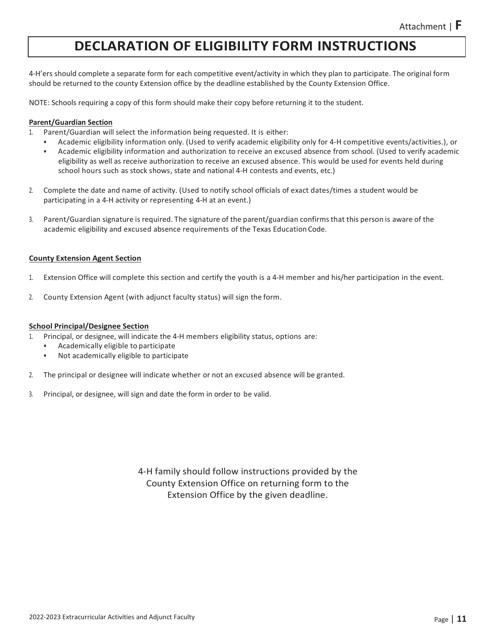## **DECLARATION OF ELIGIBILITY FORM INSTRUCTIONS**

4-H'ers should complete a separate form for each competitive event/activity in which they plan to participate. The original form should be returned to the county Extension office by the deadline established by the County Extension Office.

NOTE: Schools requiring a copy of this form should make their copy before returning it to the student.

### **Parent/Guardian Section**

- 1. Parent/Guardian will select the information being requested. It is either:
	- Academic eligibility information only. (Used to verify academic eligibility only for 4-H competitive events/activities.), or
		- Academic eligibility information and authorization to receive an excused absence from school. (Used to verify academic eligibility as well as receive authorization to receive an excused absence. This would be used for events held during school hours such as stock shows, state and national 4-H contests and events, etc.)
- 2. Complete the date and name of activity. (Used to notify school officials of exact dates/times a student would be participating in a 4-H activity or representing 4-H at an event.)
- 3. Parent/Guardian signature is required. The signature of the parent/guardian confirmsthat this person is aware of the academic eligibility and excused absence requirements of the Texas Education Code.

### **County Extension Agent Section**

- 1. Extension Office will complete this section and certify the youth is a 4-H member and his/her participation in the event.
- 2. County Extension Agent (with adjunct faculty status) will sign the form.

#### **School Principal/Designee Section**

- 1. Principal, or designee, will indicate the 4-H members eligibility status, options are:
	- Academically eligible to participate
	- Not academically eligible to participate
- 2. The principal or designee will indicate whether or not an excused absence will be granted.
- 3. Principal, or designee, will sign and date the form in order to be valid.

4-H family should follow instructions provided by the County Extension Office on returning form to the Extension Office by the given deadline.